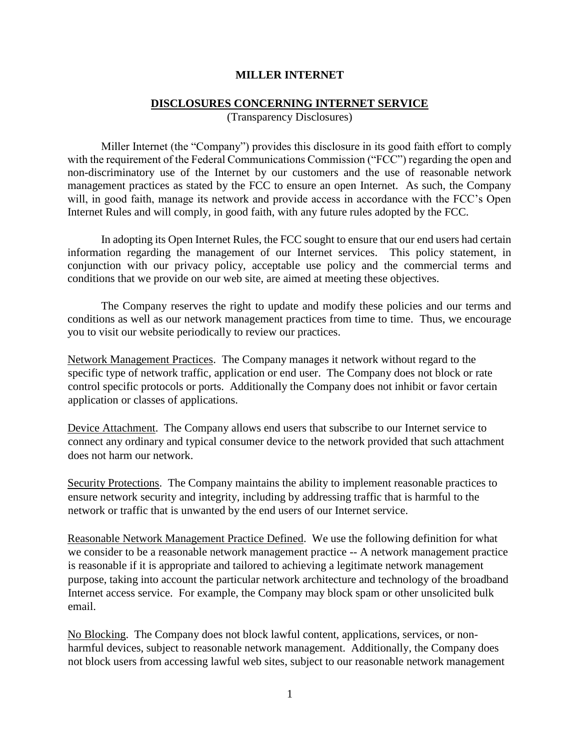## **MILLER INTERNET**

## **DISCLOSURES CONCERNING INTERNET SERVICE**

(Transparency Disclosures)

Miller Internet (the "Company") provides this disclosure in its good faith effort to comply with the requirement of the Federal Communications Commission ("FCC") regarding the open and non-discriminatory use of the Internet by our customers and the use of reasonable network management practices as stated by the FCC to ensure an open Internet. As such, the Company will, in good faith, manage its network and provide access in accordance with the FCC's Open Internet Rules and will comply, in good faith, with any future rules adopted by the FCC.

In adopting its Open Internet Rules, the FCC sought to ensure that our end users had certain information regarding the management of our Internet services. This policy statement, in conjunction with our privacy policy, acceptable use policy and the commercial terms and conditions that we provide on our web site, are aimed at meeting these objectives.

The Company reserves the right to update and modify these policies and our terms and conditions as well as our network management practices from time to time. Thus, we encourage you to visit our website periodically to review our practices.

Network Management Practices. The Company manages it network without regard to the specific type of network traffic, application or end user. The Company does not block or rate control specific protocols or ports. Additionally the Company does not inhibit or favor certain application or classes of applications.

Device Attachment. The Company allows end users that subscribe to our Internet service to connect any ordinary and typical consumer device to the network provided that such attachment does not harm our network.

Security Protections. The Company maintains the ability to implement reasonable practices to ensure network security and integrity, including by addressing traffic that is harmful to the network or traffic that is unwanted by the end users of our Internet service.

Reasonable Network Management Practice Defined. We use the following definition for what we consider to be a reasonable network management practice -- A network management practice is reasonable if it is appropriate and tailored to achieving a legitimate network management purpose, taking into account the particular network architecture and technology of the broadband Internet access service. For example, the Company may block spam or other unsolicited bulk email.

No Blocking. The Company does not block lawful content, applications, services, or nonharmful devices, subject to reasonable network management. Additionally, the Company does not block users from accessing lawful web sites, subject to our reasonable network management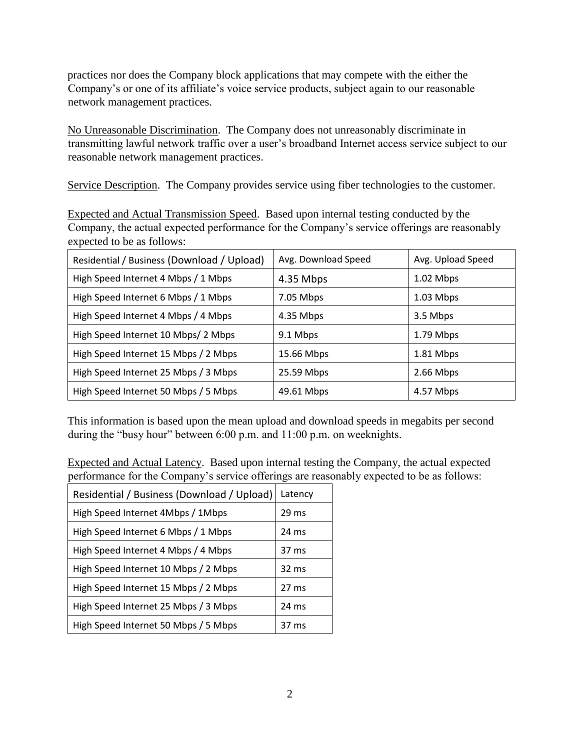practices nor does the Company block applications that may compete with the either the Company's or one of its affiliate's voice service products, subject again to our reasonable network management practices.

No Unreasonable Discrimination. The Company does not unreasonably discriminate in transmitting lawful network traffic over a user's broadband Internet access service subject to our reasonable network management practices.

Service Description. The Company provides service using fiber technologies to the customer.

Expected and Actual Transmission Speed. Based upon internal testing conducted by the Company, the actual expected performance for the Company's service offerings are reasonably expected to be as follows:

| Residential / Business (Download / Upload) | Avg. Download Speed | Avg. Upload Speed |
|--------------------------------------------|---------------------|-------------------|
| High Speed Internet 4 Mbps / 1 Mbps        | 4.35 Mbps           | 1.02 Mbps         |
| High Speed Internet 6 Mbps / 1 Mbps        | 7.05 Mbps           | $1.03$ Mbps       |
| High Speed Internet 4 Mbps / 4 Mbps        | 4.35 Mbps           | 3.5 Mbps          |
| High Speed Internet 10 Mbps/2 Mbps         | 9.1 Mbps            | 1.79 Mbps         |
| High Speed Internet 15 Mbps / 2 Mbps       | 15.66 Mbps          | 1.81 Mbps         |
| High Speed Internet 25 Mbps / 3 Mbps       | 25.59 Mbps          | 2.66 Mbps         |
| High Speed Internet 50 Mbps / 5 Mbps       | 49.61 Mbps          | 4.57 Mbps         |

This information is based upon the mean upload and download speeds in megabits per second during the "busy hour" between 6:00 p.m. and 11:00 p.m. on weeknights.

Expected and Actual Latency. Based upon internal testing the Company, the actual expected performance for the Company's service offerings are reasonably expected to be as follows:

| Residential / Business (Download / Upload) | Latency         |
|--------------------------------------------|-----------------|
| High Speed Internet 4Mbps / 1Mbps          | 29 ms           |
| High Speed Internet 6 Mbps / 1 Mbps        | 24 ms           |
| High Speed Internet 4 Mbps / 4 Mbps        | 37 ms           |
| High Speed Internet 10 Mbps / 2 Mbps       | 32 ms           |
| High Speed Internet 15 Mbps / 2 Mbps       | 27 ms           |
| High Speed Internet 25 Mbps / 3 Mbps       | $24 \text{ ms}$ |
| High Speed Internet 50 Mbps / 5 Mbps       | 37 ms           |